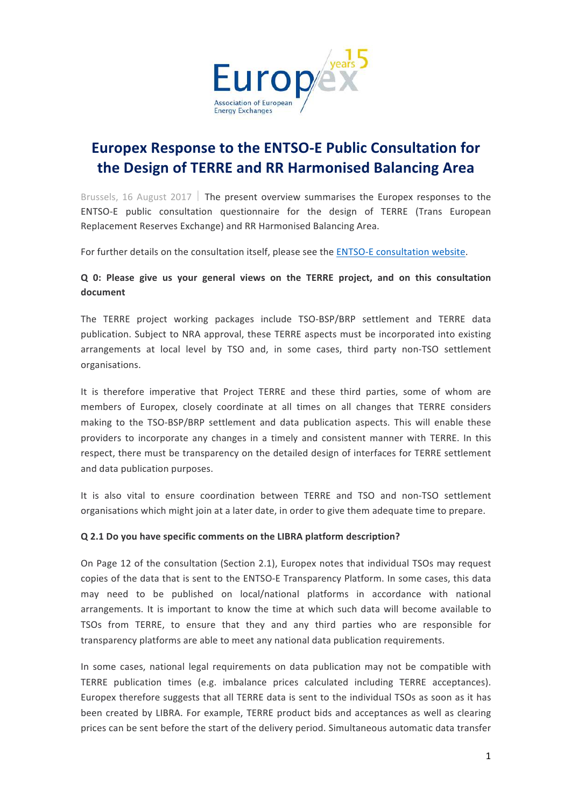

# **Europex Response to the ENTSO-E Public Consultation for the Design of TERRE and RR Harmonised Balancing Area**

Brussels, 16 August 2017 The present overview summarises the Europex responses to the ENTSO-E public consultation questionnaire for the design of TERRE (Trans European Replacement Reserves Exchange) and RR Harmonised Balancing Area.

For further details on the consultation itself, please see the ENTSO-E consultation website.

### **Q** 0: Please give us your general views on the TERRE project, and on this consultation **document**

The TERRE project working packages include TSO-BSP/BRP settlement and TERRE data publication. Subject to NRA approval, these TERRE aspects must be incorporated into existing arrangements at local level by TSO and, in some cases, third party non-TSO settlement organisations. 

It is therefore imperative that Project TERRE and these third parties, some of whom are members of Europex, closely coordinate at all times on all changes that TERRE considers making to the TSO-BSP/BRP settlement and data publication aspects. This will enable these providers to incorporate any changes in a timely and consistent manner with TERRE. In this respect, there must be transparency on the detailed design of interfaces for TERRE settlement and data publication purposes.

It is also vital to ensure coordination between TERRE and TSO and non-TSO settlement organisations which might join at a later date, in order to give them adequate time to prepare.

#### **Q 2.1 Do you have specific comments on the LIBRA platform description?**

On Page 12 of the consultation (Section 2.1), Europex notes that individual TSOs may request copies of the data that is sent to the ENTSO-E Transparency Platform. In some cases, this data may need to be published on local/national platforms in accordance with national arrangements. It is important to know the time at which such data will become available to TSOs from TERRE, to ensure that they and any third parties who are responsible for transparency platforms are able to meet any national data publication requirements.

In some cases, national legal requirements on data publication may not be compatible with TERRE publication times (e.g. imbalance prices calculated including TERRE acceptances). Europex therefore suggests that all TERRE data is sent to the individual TSOs as soon as it has been created by LIBRA. For example, TERRE product bids and acceptances as well as clearing prices can be sent before the start of the delivery period. Simultaneous automatic data transfer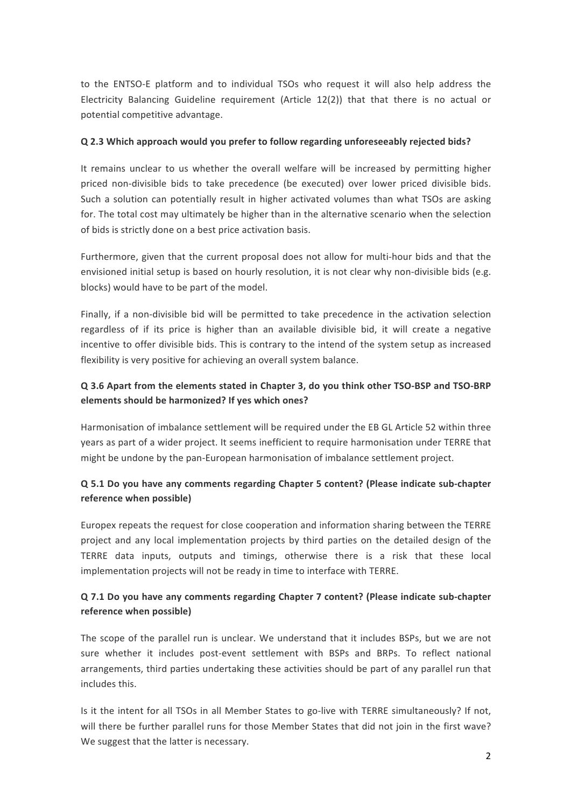to the ENTSO-E platform and to individual TSOs who request it will also help address the Electricity Balancing Guideline requirement (Article  $12(2)$ ) that that there is no actual or potential competitive advantage.

#### **Q 2.3** Which approach would you prefer to follow regarding unforeseeably rejected bids?

It remains unclear to us whether the overall welfare will be increased by permitting higher priced non-divisible bids to take precedence (be executed) over lower priced divisible bids. Such a solution can potentially result in higher activated volumes than what TSOs are asking for. The total cost may ultimately be higher than in the alternative scenario when the selection of bids is strictly done on a best price activation basis.

Furthermore, given that the current proposal does not allow for multi-hour bids and that the envisioned initial setup is based on hourly resolution, it is not clear why non-divisible bids (e.g. blocks) would have to be part of the model.

Finally, if a non-divisible bid will be permitted to take precedence in the activation selection regardless of if its price is higher than an available divisible bid, it will create a negative incentive to offer divisible bids. This is contrary to the intend of the system setup as increased flexibility is very positive for achieving an overall system balance.

# **Q** 3.6 Apart from the elements stated in Chapter 3, do you think other TSO-BSP and TSO-BRP **elements should be harmonized? If yes which ones?**

Harmonisation of imbalance settlement will be required under the EB GL Article 52 within three years as part of a wider project. It seems inefficient to require harmonisation under TERRE that might be undone by the pan-European harmonisation of imbalance settlement project.

## **Q** 5.1 Do you have any comments regarding Chapter 5 content? (Please indicate sub-chapter reference when possible)

Europex repeats the request for close cooperation and information sharing between the TERRE project and any local implementation projects by third parties on the detailed design of the TERRE data inputs, outputs and timings, otherwise there is a risk that these local implementation projects will not be ready in time to interface with TERRE.

## **Q** 7.1 Do you have any comments regarding Chapter 7 content? (Please indicate sub-chapter reference when possible)

The scope of the parallel run is unclear. We understand that it includes BSPs, but we are not sure whether it includes post-event settlement with BSPs and BRPs. To reflect national arrangements, third parties undertaking these activities should be part of any parallel run that includes this.

Is it the intent for all TSOs in all Member States to go-live with TERRE simultaneously? If not, will there be further parallel runs for those Member States that did not join in the first wave? We suggest that the latter is necessary.